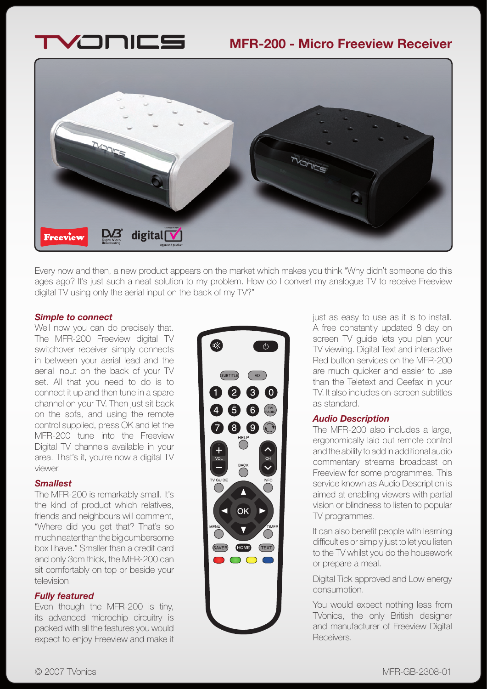



Every now and then, a new product appears on the market which makes you think "Why didn't someone do this ages ago? It's just such a neat solution to my problem. How do I convert my analogue TV to receive Freeview digital TV using only the aerial input on the back of my TV?"

### *Simple to connect*

Well now you can do precisely that. The MFR-200 Freeview digital TV switchover receiver simply connects in between your aerial lead and the aerial input on the back of your TV set. All that you need to do is to connect it up and then tune in a spare channel on your TV. Then just sit back on the sofa, and using the remote control supplied, press OK and let the MFR-200 tune into the Freeview Digital TV channels available in your area. That's it, you're now a digital TV viewer.

### *Smallest*

The MFR-200 is remarkably small. It's the kind of product which relatives, friends and neighbours will comment, "Where did you get that? That's so much neater than the big cumbersome box I have." Smaller than a credit card and only 3cm thick, the MFR-200 can sit comfortably on top or beside your television.

## *Fully featured*

Even though the MFR-200 is tiny, its advanced microchip circuitry is packed with all the features you would expect to enjoy Freeview and make it



just as easy to use as it is to install. A free constantly updated 8 day on screen TV guide lets you plan your TV viewing. Digital Text and interactive Red button services on the MFR-200 are much quicker and easier to use than the Teletext and Ceefax in your TV. It also includes on-screen subtitles as standard.

### *Audio Description*

The MFR-200 also includes a large, ergonomically laid out remote control and the ability to add in additional audio commentary streams broadcast on Freeview for some programmes. This service known as Audio Description is aimed at enabling viewers with partial vision or blindness to listen to popular TV programmes.

It can also benefit people with learning difficulties or simply just to let you listen to the TV whilst you do the housework or prepare a meal.

Digital Tick approved and Low energy consumption.

You would expect nothing less from TVonics, the only British designer and manufacturer of Freeview Digital Receivers.